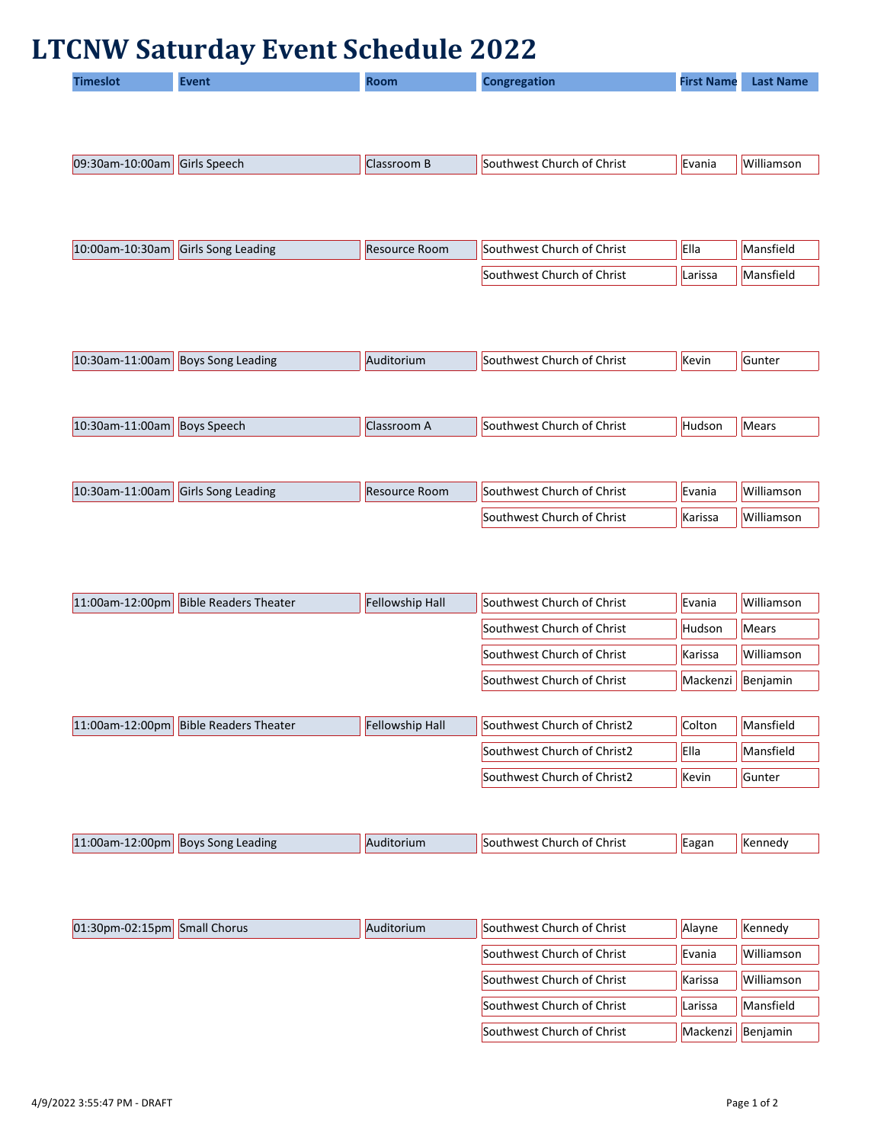## **LTCNW Saturday Event Schedule 2022**

|                 | ✔                         |                      |                            |                   |                  |
|-----------------|---------------------------|----------------------|----------------------------|-------------------|------------------|
| <b>Timeslot</b> | <b>Event</b>              | <b>Room</b>          | <b>Congregation</b>        | <b>First Name</b> | <b>Last Name</b> |
|                 |                           |                      |                            |                   |                  |
|                 |                           |                      |                            |                   |                  |
|                 |                           |                      |                            |                   |                  |
| 09:30am-10:00am | <b>Girls Speech</b>       | <b>Classroom B</b>   | Southwest Church of Christ | Evania            | Williamson       |
|                 |                           |                      |                            |                   |                  |
|                 |                           |                      |                            |                   |                  |
|                 |                           |                      |                            |                   |                  |
| 10:00am-10:30am | <b>Girls Song Leading</b> | Resource Room        | Southwest Church of Christ | Ella              | Mansfield        |
|                 |                           |                      |                            |                   |                  |
|                 |                           |                      | Southwest Church of Christ | Larissa           | Mansfield        |
|                 |                           |                      |                            |                   |                  |
|                 |                           |                      |                            |                   |                  |
|                 |                           |                      |                            |                   |                  |
| 10:30am-11:00am | <b>Boys Song Leading</b>  | Auditorium           | Southwest Church of Christ | Kevin             | Gunter           |
|                 |                           |                      |                            |                   |                  |
|                 |                           |                      |                            |                   |                  |
| 10:30am-11:00am | <b>Boys Speech</b>        | Classroom A          | Southwest Church of Christ | Hudson            | Mears            |
|                 |                           |                      |                            |                   |                  |
|                 |                           |                      |                            |                   |                  |
| 10:30am-11:00am | <b>Girls Song Leading</b> | <b>Resource Room</b> | Southwest Church of Christ | Evania            | Williamson       |
|                 |                           |                      |                            |                   |                  |
|                 |                           |                      | Southwest Church of Christ | Karissa           | Williamson       |

| 11:00am-12:00pm | <b>Bible Readers Theater</b>          | <b>Fellowship Hall</b> | Southwest Church of Christ  | Evania      | Williamson |
|-----------------|---------------------------------------|------------------------|-----------------------------|-------------|------------|
|                 |                                       |                        | Southwest Church of Christ  | Hudson      | Mears      |
|                 |                                       |                        | Southwest Church of Christ  | Karissa     | Williamson |
|                 |                                       |                        | Southwest Church of Christ  | Mackenzi    | Benjamin   |
|                 |                                       |                        |                             |             |            |
|                 | 11:00am-12:00pm Bible Readers Theater | <b>Fellowship Hall</b> | Southwest Church of Christ2 | Colton      | Mansfield  |
|                 |                                       |                        | Southwest Church of Christ2 | <b>Ella</b> | Mansfield  |

| 11:00am-12:00pm | <b>Boys Song Leading</b> | <b>N</b> torium. | Church of Christ<br><b>SOUTHWAST</b> | Eagar | .nneav<br>INI |
|-----------------|--------------------------|------------------|--------------------------------------|-------|---------------|
|                 |                          |                  |                                      |       |               |

| $01:30$ pm-02:15pm Small Chorus | Auditorium | Southwest Church of Christ | Alayne        | Kennedy           |
|---------------------------------|------------|----------------------------|---------------|-------------------|
|                                 |            | Southwest Church of Christ | Evania        | <b>Williamson</b> |
|                                 |            | Southwest Church of Christ | Karissa       | Williamson        |
|                                 |            | Southwest Church of Christ | Larissa       | Mansfield         |
|                                 |            | Southwest Church of Christ | .  Mackenzi ' | Benjamin          |

Southwest Church of Christ2  $\left|\mathsf{Kevin}\right|$  Gunter